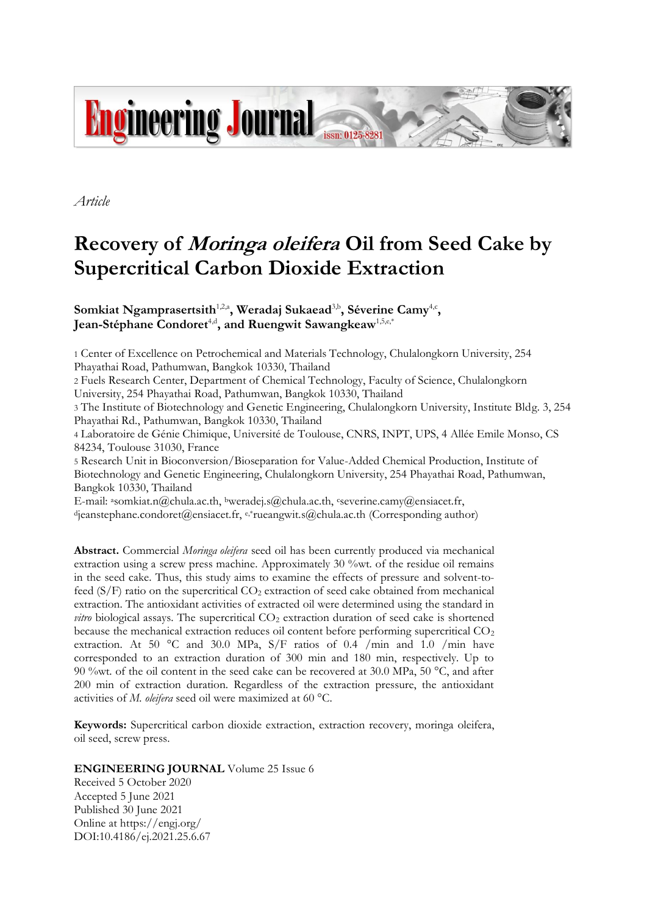

*Article*

# **Recovery of Moringa oleifera Oil from Seed Cake by Supercritical Carbon Dioxide Extraction**

Somkiat Ngamprasertsith<sup>1,2,a</sup>, Weradaj Sukaead<sup>3,b</sup>, Séverine Camy<sup>4,c</sup>, Jean-Stéphane Condoret<sup>4,d</sup>, and Ruengwit Sawangkeaw<sup>1,5,e,\*</sup>

1 Center of Excellence on Petrochemical and Materials Technology, Chulalongkorn University, 254 Phayathai Road, Pathumwan, Bangkok 10330, Thailand

2 Fuels Research Center, Department of Chemical Technology, Faculty of Science, Chulalongkorn University, 254 Phayathai Road, Pathumwan, Bangkok 10330, Thailand

3 The Institute of Biotechnology and Genetic Engineering, Chulalongkorn University, Institute Bldg. 3, 254 Phayathai Rd., Pathumwan, Bangkok 10330, Thailand

4 Laboratoire de Génie Chimique, Université de Toulouse, CNRS, INPT, UPS, 4 Allée Emile Monso, CS 84234, Toulouse 31030, France

5 Research Unit in Bioconversion/Bioseparation for Value-Added Chemical Production, Institute of Biotechnology and Genetic Engineering, Chulalongkorn University, 254 Phayathai Road, Pathumwan, Bangkok 10330, Thailand

E-mail: <sup>a</sup>somkiat.n@chula.ac.th, <sup>b</sup>weradej.s@chula.ac.th, cseverine.camy@ensiacet.fr,

 $d$ jeanstephane.condoret@ensiacet.fr, e,\*rueangwit.s@chula.ac.th (Corresponding author)

**Abstract.** Commercial *Moringa oleifera* seed oil has been currently produced via mechanical extraction using a screw press machine. Approximately 30 %wt. of the residue oil remains in the seed cake. Thus, this study aims to examine the effects of pressure and solvent-tofeed  $(S/F)$  ratio on the supercritical  $CO<sub>2</sub>$  extraction of seed cake obtained from mechanical extraction. The antioxidant activities of extracted oil were determined using the standard in *vitro* biological assays. The supercritical CO<sub>2</sub> extraction duration of seed cake is shortened because the mechanical extraction reduces oil content before performing supercritical  $CO<sub>2</sub>$ extraction. At 50 °C and 30.0 MPa,  $S/F$  ratios of 0.4 /min and 1.0 /min have corresponded to an extraction duration of 300 min and 180 min, respectively. Up to 90 %wt. of the oil content in the seed cake can be recovered at 30.0 MPa, 50 °C, and after 200 min of extraction duration. Regardless of the extraction pressure, the antioxidant activities of *M. oleifera* seed oil were maximized at 60 °C.

**Keywords:** Supercritical carbon dioxide extraction, extraction recovery, moringa oleifera, oil seed, screw press.

# **ENGINEERING JOURNAL** Volume 25 Issue 6

Received 5 October 2020 Accepted 5 June 2021 Published 30 June 2021 Online at https://engj.org/ DOI:10.4186/ej.2021.25.6.67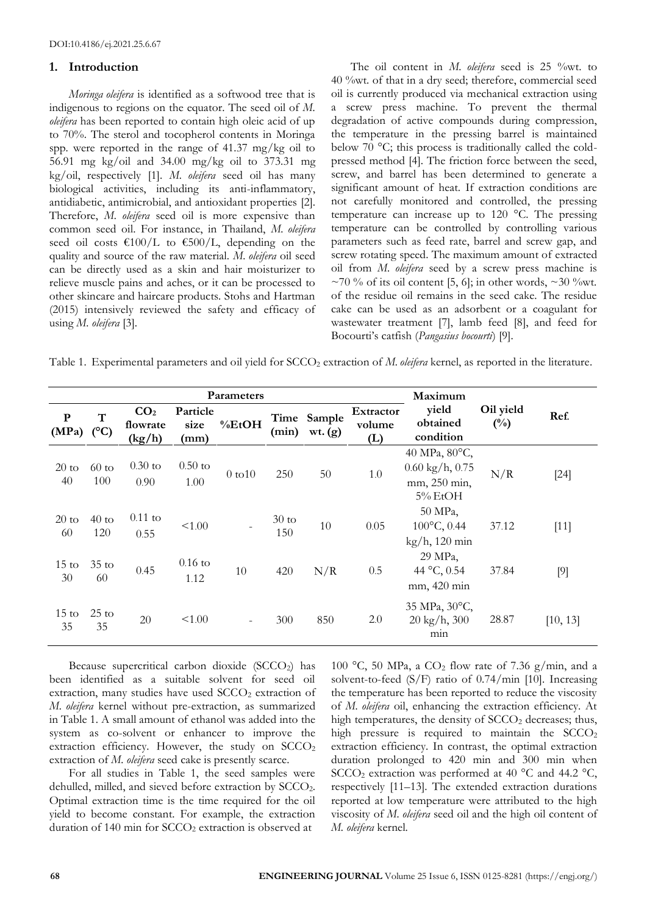## **1. Introduction**

*Moringa oleifera* is identified as a softwood tree that is indigenous to regions on the equator. The seed oil of *M. oleifera* has been reported to contain high oleic acid of up to 70%. The sterol and tocopherol contents in Moringa spp. were reported in the range of 41.37 mg/kg oil to 56.91 mg kg/oil and 34.00 mg/kg oil to 373.31 mg kg/oil, respectively [1]. *M. oleifera* seed oil has many biological activities, including its anti-inflammatory, antidiabetic, antimicrobial, and antioxidant properties [2]. Therefore, *M. oleifera* seed oil is more expensive than common seed oil. For instance, in Thailand, *M. oleifera* seed oil costs  $\epsilon$ 100/L to  $\epsilon$ 500/L, depending on the quality and source of the raw material. *M. oleifera* oil seed can be directly used as a skin and hair moisturizer to relieve muscle pains and aches, or it can be processed to other skincare and haircare products. Stohs and Hartman (2015) intensively reviewed the safety and efficacy of using *M. oleifera* [3].

The oil content in *M. oleifera* seed is 25 %wt. to 40 %wt. of that in a dry seed; therefore, commercial seed oil is currently produced via mechanical extraction using a screw press machine. To prevent the thermal degradation of active compounds during compression, the temperature in the pressing barrel is maintained below 70 °C; this process is traditionally called the coldpressed method [4]. The friction force between the seed, screw, and barrel has been determined to generate a significant amount of heat. If extraction conditions are not carefully monitored and controlled, the pressing temperature can increase up to 120 °C. The pressing temperature can be controlled by controlling various parameters such as feed rate, barrel and screw gap, and screw rotating speed. The maximum amount of extracted oil from *M. oleifera* seed by a screw press machine is  $\sim$ 70 % of its oil content [5, 6]; in other words,  $\sim$ 30 %wt. of the residue oil remains in the seed cake. The residue cake can be used as an adsorbent or a coagulant for wastewater treatment [7], lamb feed [8], and feed for Bocourti's catfish (*Pangasius bocourti*) [9].

Table 1. Experimental parameters and oil yield for SCCO<sub>2</sub> extraction of *M. oleifera* kernel, as reported in the literature.

| <b>Parameters</b>         |                |                                       |                          |                          |                        |                   | Maximum                    |                                                                           |                            |          |
|---------------------------|----------------|---------------------------------------|--------------------------|--------------------------|------------------------|-------------------|----------------------------|---------------------------------------------------------------------------|----------------------------|----------|
| ${\bf P}$<br>$(MPa)$ (°C) | T              | CO <sub>2</sub><br>flowrate<br>(kg/h) | Particle<br>size<br>(mm) | %EtOH                    | Time<br>(min)          | Sample<br>wt. (g) | Extractor<br>volume<br>(L) | yield<br>obtained<br>condition                                            | Oil yield<br>$(^{0}/_{0})$ | Ref.     |
| $20 \text{ to}$<br>40     | $60$ to<br>100 | $0.30$ to<br>0.90                     | $0.50$ to<br>1.00        | $0$ to $10$              | 250                    | 50                | 1.0                        | 40 MPa, 80°C,<br>$0.60 \text{ kg/h}$ , 0.75<br>mm, 250 min,<br>$5\%$ EtOH | N/R                        | $[24]$   |
| $20 \text{ to}$<br>60     | $40$ to<br>120 | $0.11$ to<br>0.55                     | < 1.00                   |                          | $30 \text{ to}$<br>150 | 10                | 0.05                       | 50 MPa,<br>100°C, 0.44<br>kg/h, 120 min                                   | 37.12                      | $[11]$   |
| $15 \text{ to}$<br>30     | $35$ to<br>60  | 0.45                                  | $0.16$ to<br>1.12        | 10                       | 420                    | N/R               | 0.5                        | 29 MPa,<br>44 °C, 0.54<br>mm, 420 min                                     | 37.84                      | $[9]$    |
| $15 \text{ to}$<br>35     | $25$ to<br>35  | 20                                    | < 1.00                   | $\overline{\phantom{a}}$ | 300                    | 850               | 2.0                        | 35 MPa, 30°C,<br>$20 \text{ kg/h}$ , 300<br>min                           | 28.87                      | [10, 13] |

Because supercritical carbon dioxide (SCCO<sub>2</sub>) has been identified as a suitable solvent for seed oil extraction, many studies have used SCCO<sub>2</sub> extraction of *M. oleifera* kernel without pre-extraction, as summarized in Table 1. A small amount of ethanol was added into the system as co-solvent or enhancer to improve the extraction efficiency. However, the study on  $SCCO<sub>2</sub>$ extraction of *M. oleifera* seed cake is presently scarce.

For all studies in Table 1, the seed samples were dehulled, milled, and sieved before extraction by SCCO2. Optimal extraction time is the time required for the oil yield to become constant. For example, the extraction duration of 140 min for SCCO<sub>2</sub> extraction is observed at

100 °C, 50 MPa, a CO<sub>2</sub> flow rate of 7.36 g/min, and a solvent-to-feed  $(S/F)$  ratio of 0.74/min [10]. Increasing the temperature has been reported to reduce the viscosity of *M. oleifera* oil, enhancing the extraction efficiency. At high temperatures, the density of  $SCCO<sub>2</sub>$  decreases; thus, high pressure is required to maintain the  $SCCO<sub>2</sub>$ extraction efficiency. In contrast, the optimal extraction duration prolonged to 420 min and 300 min when SCCO<sub>2</sub> extraction was performed at 40  $^{\circ}$ C and 44.2  $^{\circ}$ C, respectively [11–13]. The extended extraction durations reported at low temperature were attributed to the high viscosity of *M. oleifera* seed oil and the high oil content of *M. oleifera* kernel.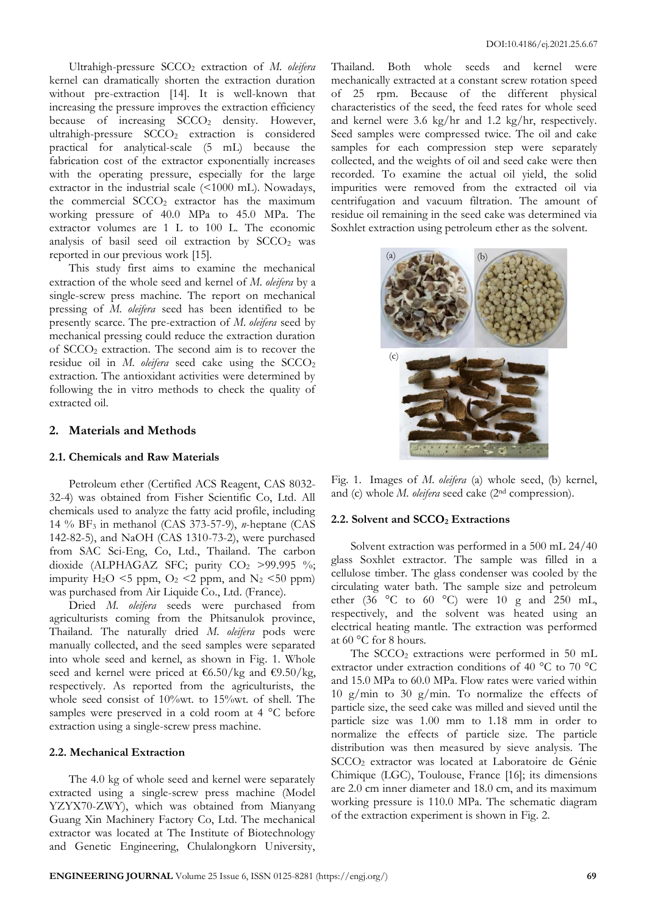Ultrahigh-pressure SCCO<sup>2</sup> extraction of *M. oleifera* kernel can dramatically shorten the extraction duration without pre-extraction [14]. It is well-known that increasing the pressure improves the extraction efficiency because of increasing  $SCCO<sub>2</sub>$  density. However, ultrahigh-pressure SCCO<sub>2</sub> extraction is considered practical for analytical-scale (5 mL) because the fabrication cost of the extractor exponentially increases with the operating pressure, especially for the large extractor in the industrial scale (<1000 mL). Nowadays, the commercial  $SCCO<sub>2</sub>$  extractor has the maximum working pressure of 40.0 MPa to 45.0 MPa. The extractor volumes are 1 L to 100 L. The economic analysis of basil seed oil extraction by  $SCCO<sub>2</sub>$  was reported in our previous work [15].

This study first aims to examine the mechanical extraction of the whole seed and kernel of *M. oleifera* by a single-screw press machine. The report on mechanical pressing of *M. oleifera* seed has been identified to be presently scarce. The pre-extraction of *M. oleifera* seed by mechanical pressing could reduce the extraction duration of SCCO<sup>2</sup> extraction. The second aim is to recover the residue oil in *M. oleifera* seed cake using the SCCO<sub>2</sub> extraction. The antioxidant activities were determined by following the in vitro methods to check the quality of extracted oil.

# **2. Materials and Methods**

## **2.1. Chemicals and Raw Materials**

Petroleum ether (Certified ACS Reagent, CAS 8032- 32-4) was obtained from Fisher Scientific Co, Ltd. All chemicals used to analyze the fatty acid profile, including 14 % BF<sup>3</sup> in methanol (CAS 373-57-9), *n*-heptane (CAS 142-82-5), and NaOH (CAS 1310-73-2), were purchased from SAC Sci-Eng, Co, Ltd., Thailand. The carbon dioxide (ALPHAGAZ SFC; purity  $CO<sub>2</sub> >99.995$ %; impurity  $H_2O \le 5$  ppm,  $O_2 \le 2$  ppm, and  $N_2 \le 50$  ppm) was purchased from Air Liquide Co., Ltd. (France).

Dried *M. oleifera* seeds were purchased from agriculturists coming from the Phitsanulok province, Thailand. The naturally dried *M. oleifera* pods were manually collected, and the seed samples were separated into whole seed and kernel, as shown in Fig. 1. Whole seed and kernel were priced at  $\frac{\epsilon}{6.50}$ /kg and  $\frac{\epsilon}{9.50}$ /kg, respectively. As reported from the agriculturists, the whole seed consist of 10%wt. to 15%wt. of shell. The samples were preserved in a cold room at 4 °C before extraction using a single-screw press machine.

#### **2.2. Mechanical Extraction**

The 4.0 kg of whole seed and kernel were separately extracted using a single-screw press machine (Model YZYX70-ZWY), which was obtained from Mianyang Guang Xin Machinery Factory Co, Ltd. The mechanical extractor was located at The Institute of Biotechnology and Genetic Engineering, Chulalongkorn University, Thailand. Both whole seeds and kernel were mechanically extracted at a constant screw rotation speed of 25 rpm. Because of the different physical characteristics of the seed, the feed rates for whole seed and kernel were 3.6 kg/hr and 1.2 kg/hr, respectively. Seed samples were compressed twice. The oil and cake samples for each compression step were separately collected, and the weights of oil and seed cake were then recorded. To examine the actual oil yield, the solid impurities were removed from the extracted oil via centrifugation and vacuum filtration. The amount of residue oil remaining in the seed cake was determined via Soxhlet extraction using petroleum ether as the solvent.



Fig. 1. Images of *M. oleifera* (a) whole seed, (b) kernel, and (c) whole *M. oleifera* seed cake (2nd compression).

#### **2.2. Solvent and SCCO<sup>2</sup> Extractions**

Solvent extraction was performed in a 500 mL 24/40 glass Soxhlet extractor. The sample was filled in a cellulose timber. The glass condenser was cooled by the circulating water bath. The sample size and petroleum ether (36  $\degree$ C to 60  $\degree$ C) were 10 g and 250 mL, respectively, and the solvent was heated using an electrical heating mantle. The extraction was performed at 60 °C for 8 hours.

The SCCO<sub>2</sub> extractions were performed in 50 mL extractor under extraction conditions of 40 °C to 70 °C and 15.0 MPa to 60.0 MPa. Flow rates were varied within 10 g/min to 30 g/min. To normalize the effects of particle size, the seed cake was milled and sieved until the particle size was 1.00 mm to 1.18 mm in order to normalize the effects of particle size. The particle distribution was then measured by sieve analysis. The SCCO<sup>2</sup> extractor was located at Laboratoire de Génie Chimique (LGC), Toulouse, France [16]; its dimensions are 2.0 cm inner diameter and 18.0 cm, and its maximum working pressure is 110.0 MPa. The schematic diagram of the extraction experiment is shown in Fig. 2.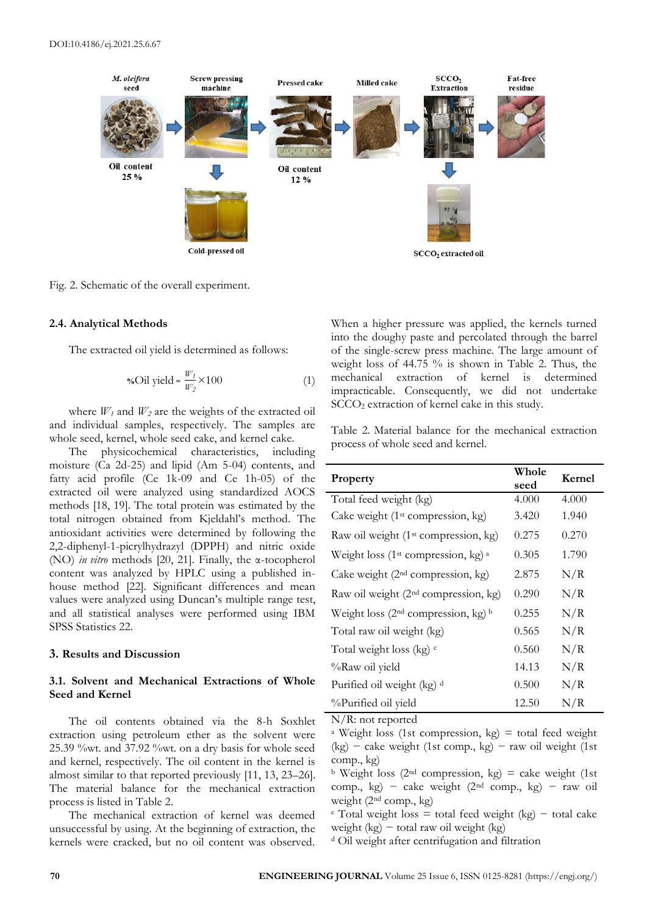

Fig. 2. Schematic of the overall experiment.

#### **2.4. Analytical Methods**

The extracted oil yield is determined as follows:

$$
\text{%Oil yield} = \frac{W_I}{W_2} \times 100 \tag{1}
$$

where  $W_1$  and  $W_2$  are the weights of the extracted oil and individual samples, respectively. The samples are whole seed, kernel, whole seed cake, and kernel cake.

The physicochemical characteristics, including moisture (Ca 2d-25) and lipid (Am 5-04) contents, and fatty acid profile (Ce 1k-09 and Ce 1h-05) of the extracted oil were analyzed using standardized AOCS methods [18, 19]. The total protein was estimated by the total nitrogen obtained from Kjeldahl's method. The antioxidant activities were determined by following the 2,2-diphenyl-1-picrylhydrazyl (DPPH) and nitric oxide (NO) *in vitro* methods [20, 21]. Finally, the α-tocopherol content was analyzed by HPLC using a published inhouse method [22]. Significant differences and mean values were analyzed using Duncan's multiple range test, and all statistical analyses were performed using IBM SPSS Statistics 22.

#### **3. Results and Discussion**

# **3.1. Solvent and Mechanical Extractions of Whole Seed and Kernel**

The oil contents obtained via the 8-h Soxhlet extraction using petroleum ether as the solvent were 25.39 %wt. and 37.92 %wt. on a dry basis for whole seed and kernel, respectively. The oil content in the kernel is almost similar to that reported previously [11, 13, 23–26]. The material balance for the mechanical extraction process is listed in Table 2.

The mechanical extraction of kernel was deemed unsuccessful by using. At the beginning of extraction, the kernels were cracked, but no oil content was observed.

When a higher pressure was applied, the kernels turned into the doughy paste and percolated through the barrel of the single-screw press machine. The large amount of weight loss of 44.75 % is shown in Table 2. Thus, the mechanical extraction of kernel is determined impracticable. Consequently, we did not undertake SCCO<sup>2</sup> extraction of kernel cake in this study.

Table 2. Material balance for the mechanical extraction process of whole seed and kernel.

| Property                                          | Whole<br>seed | Kernel |
|---------------------------------------------------|---------------|--------|
| Total feed weight (kg)                            | 4.000         | 4.000  |
| Cake weight $(1st compression, kg)$               | 3.420         | 1.940  |
| Raw oil weight (1 <sup>st</sup> compression, kg)  | 0.275         | 0.270  |
| Weight loss ( $1st$ compression, kg) <sup>a</sup> | 0.305         | 1.790  |
| Cake weight $(2nd compression, kg)$               | 2.875         | N/R    |
| Raw oil weight (2 <sup>nd</sup> compression, kg)  | 0.290         | N/R    |
| Weight loss $(2nd compression, kg)$ <sup>b</sup>  | 0.255         | N/R    |
| Total raw oil weight (kg)                         | 0.565         | N/R    |
| Total weight loss (kg) $\circ$                    | 0.560         | N/R    |
| %Raw oil yield                                    | 14.13         | N/R    |
| Purified oil weight (kg) d                        | 0.500         | N/R    |
| %Purified oil yield                               | 12.50         | N/R    |

N/R: not reported

<sup>a</sup> Weight loss (1st compression,  $kg$ ) = total feed weight (kg) − cake weight (1st comp., kg) − raw oil weight (1st comp., kg)

 $\frac{b}{c}$  Weight loss (2<sup>nd</sup> compression, kg) = cake weight (1st) comp., kg) − cake weight (2nd comp., kg) − raw oil weight (2nd comp., kg)

 $\epsilon$  Total weight loss = total feed weight (kg) – total cake weight (kg) − total raw oil weight (kg)

<sup>d</sup> Oil weight after centrifugation and filtration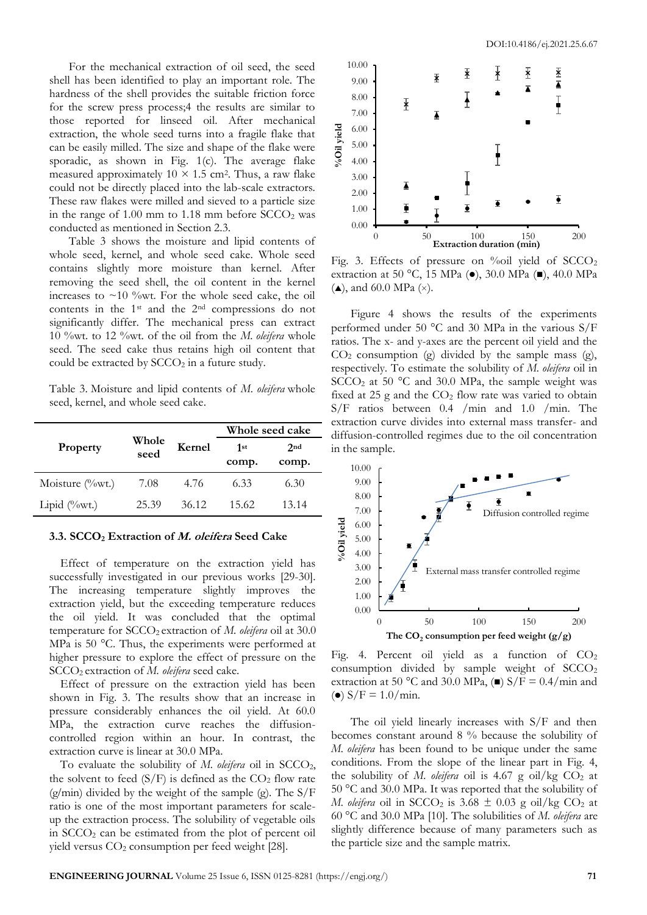For the mechanical extraction of oil seed, the seed shell has been identified to play an important role. The hardness of the shell provides the suitable friction force for the screw press process;4 the results are similar to those reported for linseed oil. After mechanical extraction, the whole seed turns into a fragile flake that can be easily milled. The size and shape of the flake were sporadic, as shown in Fig. 1(c). The average flake measured approximately  $10 \times 1.5$  cm<sup>2</sup>. Thus, a raw flake could not be directly placed into the lab-scale extractors. These raw flakes were milled and sieved to a particle size in the range of  $1.00$  mm to  $1.18$  mm before  $SCCO<sub>2</sub>$  was conducted as mentioned in Section 2.3.

Table 3 shows the moisture and lipid contents of whole seed, kernel, and whole seed cake. Whole seed contains slightly more moisture than kernel. After removing the seed shell, the oil content in the kernel increases to  $\sim$ 10 %wt. For the whole seed cake, the oil contents in the 1st and the 2nd compressions do not significantly differ. The mechanical press can extract 10 %wt. to 12 %wt. of the oil from the *M. oleifera* whole seed. The seed cake thus retains high oil content that could be extracted by  $SCCO<sub>2</sub>$  in a future study.

Table 3. Moisture and lipid contents of *M. oleifera* whole seed, kernel, and whole seed cake.

|                     |               |        |              | Whole seed cake          |
|---------------------|---------------|--------|--------------|--------------------------|
| Property            | Whole<br>seed | Kernel | 1st<br>comp. | 2 <sub>nd</sub><br>comp. |
| Moisture $(\%$ wt.) | 7.08          | 4.76   | 6.33         | 6.30                     |
| Lipid $(\%$ wt.)    | 25.39         | 36.12  | 15.62        | 13.14                    |

#### **3.3. SCCO<sup>2</sup> Extraction of M. oleifera Seed Cake**

Effect of temperature on the extraction yield has successfully investigated in our previous works [29-30]. The increasing temperature slightly improves the extraction yield, but the exceeding temperature reduces the oil yield. It was concluded that the optimal temperature for SCCO<sub>2</sub> extraction of *M. oleifera* oil at 30.0 MPa is 50 °C. Thus, the experiments were performed at higher pressure to explore the effect of pressure on the SCCO2 extraction of *M. oleifera* seed cake.

Effect of pressure on the extraction yield has been shown in Fig. 3. The results show that an increase in pressure considerably enhances the oil yield. At 60.0 MPa, the extraction curve reaches the diffusioncontrolled region within an hour. In contrast, the extraction curve is linear at 30.0 MPa.

To evaluate the solubility of *M. oleifera* oil in SCCO2, the solvent to feed  $(S/F)$  is defined as the  $CO<sub>2</sub>$  flow rate  $(g/\text{min})$  divided by the weight of the sample (g). The  $S/F$ ratio is one of the most important parameters for scaleup the extraction process. The solubility of vegetable oils in  $SCCO<sub>2</sub>$  can be estimated from the plot of percent oil yield versus CO<sub>2</sub> consumption per feed weight [28].



Fig. 3. Effects of pressure on %oil yield of  $SCCO<sub>2</sub>$ extraction at 50 °C, 15 MPa (⚫), 30.0 MPa (◼), 40.0 MPa  $(\triangle)$ , and 60.0 MPa  $(\times)$ .

Figure 4 shows the results of the experiments performed under 50 °C and 30 MPa in the various S/F ratios. The x- and y-axes are the percent oil yield and the  $CO<sub>2</sub>$  consumption (g) divided by the sample mass (g), respectively. To estimate the solubility of *M. oleifera* oil in SCCO<sup>2</sup> at 50 °C and 30.0 MPa, the sample weight was fixed at 25 g and the  $CO<sub>2</sub>$  flow rate was varied to obtain S/F ratios between 0.4 /min and 1.0 /min. The extraction curve divides into external mass transfer- and diffusion-controlled regimes due to the oil concentration in the sample.



Fig. 4. Percent oil yield as a function of  $CO<sub>2</sub>$ consumption divided by sample weight of  $SCCO<sub>2</sub>$ extraction at 50 °C and 30.0 MPa, (■)  $S/F = 0.4/min$  and (•)  $S/F = 1.0/min$ .

The oil yield linearly increases with S/F and then becomes constant around 8 % because the solubility of *M. oleifera* has been found to be unique under the same conditions. From the slope of the linear part in Fig. 4, the solubility of *M. oleifera* oil is 4.67 g oil/kg  $CO<sub>2</sub>$  at 50 °C and 30.0 MPa. It was reported that the solubility of *M. oleifera* oil in SCCO<sub>2</sub> is 3.68  $\pm$  0.03 g oil/kg CO<sub>2</sub> at 60 °C and 30.0 MPa [10]. The solubilities of *M. oleifera* are slightly difference because of many parameters such as the particle size and the sample matrix.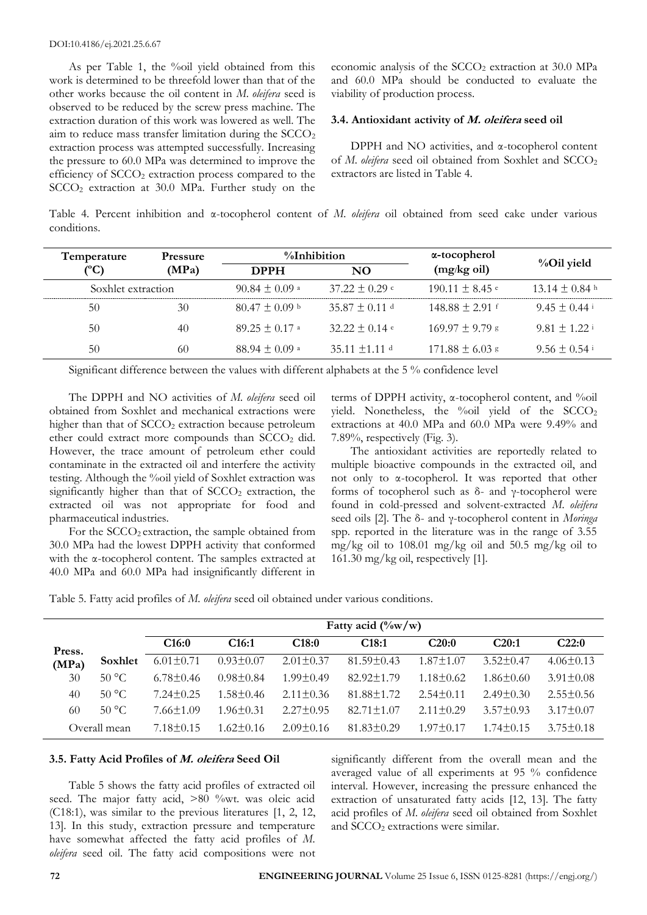As per Table 1, the %oil yield obtained from this work is determined to be threefold lower than that of the other works because the oil content in *M. oleifera* seed is observed to be reduced by the screw press machine. The extraction duration of this work was lowered as well. The aim to reduce mass transfer limitation during the  $SCCO<sub>2</sub>$ extraction process was attempted successfully. Increasing the pressure to 60.0 MPa was determined to improve the efficiency of SCCO<sup>2</sup> extraction process compared to the SCCO<sup>2</sup> extraction at 30.0 MPa. Further study on the

economic analysis of the  $SCCO<sub>2</sub>$  extraction at 30.0 MPa and 60.0 MPa should be conducted to evaluate the viability of production process.

## **3.4. Antioxidant activity of M. oleifera seed oil**

DPPH and NO activities, and α-tocopherol content of *M. oleifera* seed oil obtained from Soxhlet and SCCO<sub>2</sub> extractors are listed in Table 4.

Table 4. Percent inhibition and α-tocopherol content of *M. oleifera* oil obtained from seed cake under various conditions.

| Temperature        | <b>Pressure</b> | %Inhibition        |                    | α-tocopherol                   |                              |  |
|--------------------|-----------------|--------------------|--------------------|--------------------------------|------------------------------|--|
| (°C)               | (MPa)           | <b>DPPH</b>        | NO.                | (mg/kg oil)                    | %Oil yield                   |  |
| Soxhlet extraction |                 | 90.84 $\pm$ 0.09 a | $37.22 \pm 0.29$ c | $190.11 \pm 8.45$ <sup>e</sup> | $13.14 \pm 0.84$ h           |  |
| 50                 | 30              | $80.47 \pm 0.09$ b | $35.87 \pm 0.11$ d | $148.88 \pm 2.91$ f            | $9.45 \pm 0.44$ <sup>i</sup> |  |
| 50                 | 40              | $89.25 \pm 0.17$ a | $32.22 \pm 0.14$ e | $169.97 \pm 9.79$ g            | $9.81 + 1.22$                |  |
| 50                 | 60              | 88.94 $\pm$ 0.09 a | 35.11 $\pm$ 1.11 d | $171.88 \pm 6.03$ s            | $9.56 \pm 0.54$ <sup>i</sup> |  |

Significant difference between the values with different alphabets at the 5 % confidence level

The DPPH and NO activities of *M. oleifera* seed oil obtained from Soxhlet and mechanical extractions were higher than that of  $SCCO<sub>2</sub>$  extraction because petroleum ether could extract more compounds than  $SCCO<sub>2</sub>$  did. However, the trace amount of petroleum ether could contaminate in the extracted oil and interfere the activity testing. Although the %oil yield of Soxhlet extraction was significantly higher than that of  $SCCO<sub>2</sub>$  extraction, the extracted oil was not appropriate for food and pharmaceutical industries.

For the SCCO<sub>2</sub> extraction, the sample obtained from 30.0 MPa had the lowest DPPH activity that conformed with the α-tocopherol content. The samples extracted at 40.0 MPa and 60.0 MPa had insignificantly different in

terms of DPPH activity, α-tocopherol content, and %oil yield. Nonetheless, the %oil yield of the  $SCCO<sub>2</sub>$ extractions at 40.0 MPa and 60.0 MPa were 9.49% and 7.89%, respectively (Fig. 3).

The antioxidant activities are reportedly related to multiple bioactive compounds in the extracted oil, and not only to α-tocopherol. It was reported that other forms of tocopherol such as δ- and γ-tocopherol were found in cold-pressed and solvent-extracted *M. oleifera* seed oils [2]. The δ- and γ-tocopherol content in *Moringa* spp. reported in the literature was in the range of 3.55 mg/kg oil to  $108.01$  mg/kg oil and  $50.5$  mg/kg oil to 161.30 mg/kg oil, respectively [1].

Table 5. Fatty acid profiles of *M. oleifera* seed oil obtained under various conditions.

|        |                | Fatty acid $(\%w/w)$ |                   |                 |                  |                 |                 |                 |
|--------|----------------|----------------------|-------------------|-----------------|------------------|-----------------|-----------------|-----------------|
| Press. |                | C16:0                | C <sub>16:1</sub> | C18:0           | C18:1            | C20:0           | C20:1           | C22:0           |
| (MPa)  | Soxhlet        | $6.01 \pm 0.71$      | $0.93 \pm 0.07$   | $2.01 \pm 0.37$ | $81.59 \pm 0.43$ | $1.87 \pm 1.07$ | $3.52 \pm 0.47$ | $4.06 \pm 0.13$ |
| 30     | 50 °C          | $6.78 \pm 0.46$      | $0.98 \pm 0.84$   | $1.99 \pm 0.49$ | $82.92 \pm 1.79$ | $1.18 \pm 0.62$ | $1.86 \pm 0.60$ | $3.91 \pm 0.08$ |
| 40     | $50^{\circ}$ C | $7.24 \pm 0.25$      | $1.58 \pm 0.46$   | $2.11 \pm 0.36$ | $81.88 \pm 1.72$ | $2.54 \pm 0.11$ | $2.49 \pm 0.30$ | $2.55\pm0.56$   |
| 60     | 50 °C          | 7.66+1.09            | $1.96 \pm 0.31$   | $2.27 \pm 0.95$ | $82.71 \pm 1.07$ | $2.11 \pm 0.29$ | $3.57 \pm 0.93$ | $3.17 \pm 0.07$ |
|        | Overall mean   | 7.18 + 0.15          | $1.62 \pm 0.16$   | $2.09 \pm 0.16$ | $81.83 \pm 0.29$ | $1.97 \pm 0.17$ | $1.74 \pm 0.15$ | $3.75 \pm 0.18$ |

#### **3.5. Fatty Acid Profiles of M. oleifera Seed Oil**

Table 5 shows the fatty acid profiles of extracted oil seed. The major fatty acid, >80 %wt. was oleic acid (C18:1), was similar to the previous literatures [1, 2, 12, 13]. In this study, extraction pressure and temperature have somewhat affected the fatty acid profiles of *M. oleifera* seed oil. The fatty acid compositions were not

significantly different from the overall mean and the averaged value of all experiments at 95 % confidence interval. However, increasing the pressure enhanced the extraction of unsaturated fatty acids [12, 13]. The fatty acid profiles of *M. oleifera* seed oil obtained from Soxhlet and SCCO<sub>2</sub> extractions were similar.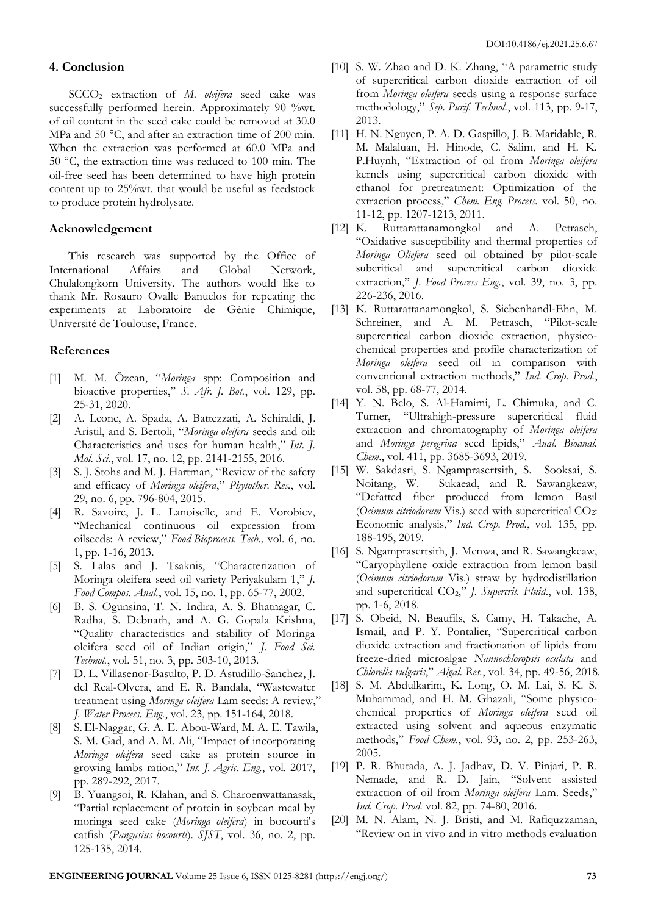## **4. Conclusion**

SCCO<sup>2</sup> extraction of *M. oleifera* seed cake was successfully performed herein. Approximately 90 %wt. of oil content in the seed cake could be removed at 30.0 MPa and 50 °C, and after an extraction time of 200 min. When the extraction was performed at 60.0 MPa and 50 °C, the extraction time was reduced to 100 min. The oil-free seed has been determined to have high protein content up to 25%wt. that would be useful as feedstock to produce protein hydrolysate.

# **Acknowledgement**

This research was supported by the Office of International Affairs and Global Network, Chulalongkorn University. The authors would like to thank Mr. Rosauro Ovalle Banuelos for repeating the experiments at Laboratoire de Génie Chimique, Université de Toulouse, France.

# **References**

- [1] M. M. Özcan, "*Moringa* spp: Composition and bioactive properties," *S. Afr. J. Bot.*, vol. 129, pp. 25-31, 2020.
- [2] A. Leone, A. Spada, A. Battezzati, A. Schiraldi, J. Aristil, and S. Bertoli, "*Moringa oleifera* seeds and oil: Characteristics and uses for human health," *Int. J. Mol. Sci.*, vol. 17, no. 12, pp. 2141-2155, 2016.
- [3] S. J. Stohs and M. J. Hartman, "Review of the safety and efficacy of *Moringa oleifera*," *Phytother. Res.*, vol. 29, no. 6, pp. 796-804, 2015.
- [4] R. Savoire, J. L. Lanoiselle, and E. Vorobiev, "Mechanical continuous oil expression from oilseeds: A review," *Food Bioprocess. Tech.,* vol. 6, no. 1, pp. 1-16, 2013.
- [5] S. Lalas and J. Tsaknis, "Characterization of Moringa oleifera seed oil variety Periyakulam 1," *J. Food Compos. Anal.*, vol. 15, no. 1, pp. 65-77, 2002.
- [6] B. S. Ogunsina, T. N. Indira, A. S. Bhatnagar, C. Radha, S. Debnath, and A. G. Gopala Krishna, "Quality characteristics and stability of Moringa oleifera seed oil of Indian origin," *J. Food Sci. Technol.*, vol. 51, no. 3, pp. 503-10, 2013.
- [7] D. L. Villasenor-Basulto, P. D. Astudillo-Sanchez, J. del Real-Olvera, and E. R. Bandala, "Wastewater treatment using *Moringa oleifera* Lam seeds: A review," *J. Water Process. Eng.*, vol. 23, pp. 151-164, 2018.
- [8] S. El-Naggar, G. A. E. Abou-Ward, M. A. E. Tawila, S. M. Gad, and A. M. Ali, "Impact of incorporating *Moringa oleifera* seed cake as protein source in growing lambs ration," *Int. J. Agric. Eng.*, vol. 2017, pp. 289-292, 2017.
- [9] B. Yuangsoi, R. Klahan, and S. Charoenwattanasak, "Partial replacement of protein in soybean meal by moringa seed cake (*Moringa oleifera*) in bocourti's catfish (*Pangasius bocourti*). *SJST*, vol. 36, no. 2, pp. 125-135, 2014.
- [10] S. W. Zhao and D. K. Zhang, "A parametric study of supercritical carbon dioxide extraction of oil from *Moringa oleifera* seeds using a response surface methodology," *Sep. Purif. Technol.*, vol. 113, pp. 9-17, 2013.
- [11] H. N. Nguyen, P. A. D. Gaspillo, J. B. Maridable, R. M. Malaluan, H. Hinode, C. Salim, and H. K. P.Huynh, "Extraction of oil from *Moringa oleifera* kernels using supercritical carbon dioxide with ethanol for pretreatment: Optimization of the extraction process," *Chem. Eng. Process.* vol. 50, no. 11-12, pp. 1207-1213, 2011.
- [12] K. Ruttarattanamongkol and A. Petrasch, "Oxidative susceptibility and thermal properties of *Moringa Oliefera* seed oil obtained by pilot-scale subcritical and supercritical carbon dioxide extraction," *J. Food Process Eng.*, vol. 39, no. 3, pp. 226-236, 2016.
- [13] K. Ruttarattanamongkol, S. Siebenhandl-Ehn, M. Schreiner, and A. M. Petrasch, "Pilot-scale supercritical carbon dioxide extraction, physicochemical properties and profile characterization of *Moringa oleifera* seed oil in comparison with conventional extraction methods," *Ind. Crop. Prod.*, vol. 58, pp. 68-77, 2014.
- [14] Y. N. Belo, S. Al-Hamimi, L. Chimuka, and C. Turner, "Ultrahigh-pressure supercritical fluid extraction and chromatography of *Moringa oleifera* and *Moringa peregrina* seed lipids," *Anal. Bioanal. Chem*., vol. 411, pp. 3685-3693, 2019.
- [15] W. Sakdasri, S. Ngamprasertsith, S. Sooksai, S. Noitang, W. Sukaead, and R. Sawangkeaw, "Defatted fiber produced from lemon Basil (*Ocimum citriodorum* Vis.) seed with supercritical CO2: Economic analysis," *Ind. Crop. Prod.*, vol. 135, pp. 188-195, 2019.
- [16] S. Ngamprasertsith, J. Menwa, and R. Sawangkeaw, "Caryophyllene oxide extraction from lemon basil (*Ocimum citriodorum* Vis.) straw by hydrodistillation and supercritical CO2," *J. Supercrit. Fluid*., vol. 138, pp. 1-6, 2018.
- [17] S. Obeid, N. Beaufils, S. Camy, H. Takache, A. Ismail, and P. Y. Pontalier, "Supercritical carbon dioxide extraction and fractionation of lipids from freeze-dried microalgae *Nannochloropsis oculata* and *Chlorella vulgaris*," *Algal. Res.*, vol. 34, pp. 49-56, 2018.
- [18] S. M. Abdulkarim, K. Long, O. M. Lai, S. K. S. Muhammad, and H. M. Ghazali, "Some physicochemical properties of *Moringa oleifera* seed oil extracted using solvent and aqueous enzymatic methods," *Food Chem.*, vol. 93, no. 2, pp. 253-263, 2005.
- [19] P. R. Bhutada, A. J. Jadhav, D. V. Pinjari, P. R. Nemade, and R. D. Jain, "Solvent assisted extraction of oil from *Moringa oleifera* Lam. Seeds," *Ind. Crop. Prod.* vol. 82, pp. 74-80, 2016.
- [20] M. N. Alam, N. J. Bristi, and M. Rafiquzzaman, "Review on in vivo and in vitro methods evaluation